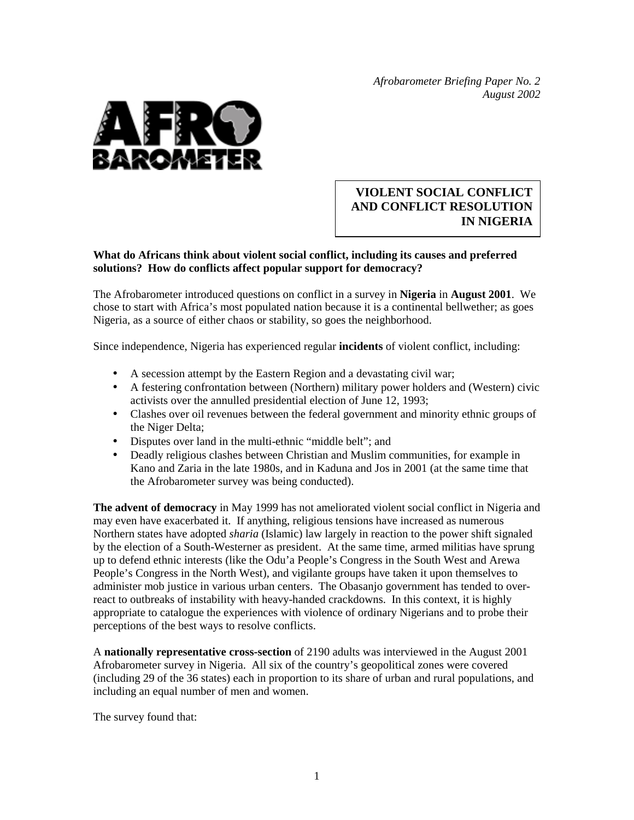*Afrobarometer Briefing Paper No. 2 August 2002* 



## **VIOLENT SOCIAL CONFLICT AND CONFLICT RESOLUTION IN NIGERIA**

## **What do Africans think about violent social conflict, including its causes and preferred solutions? How do conflicts affect popular support for democracy?**

The Afrobarometer introduced questions on conflict in a survey in **Nigeria** in **August 2001**. We chose to start with Africa's most populated nation because it is a continental bellwether; as goes Nigeria, as a source of either chaos or stability, so goes the neighborhood.

Since independence, Nigeria has experienced regular **incidents** of violent conflict, including:

- A secession attempt by the Eastern Region and a devastating civil war;
- A festering confrontation between (Northern) military power holders and (Western) civic activists over the annulled presidential election of June 12, 1993;
- Clashes over oil revenues between the federal government and minority ethnic groups of the Niger Delta;
- Disputes over land in the multi-ethnic "middle belt"; and
- Deadly religious clashes between Christian and Muslim communities, for example in Kano and Zaria in the late 1980s, and in Kaduna and Jos in 2001 (at the same time that the Afrobarometer survey was being conducted).

**The advent of democracy** in May 1999 has not ameliorated violent social conflict in Nigeria and may even have exacerbated it. If anything, religious tensions have increased as numerous Northern states have adopted *sharia* (Islamic) law largely in reaction to the power shift signaled by the election of a South-Westerner as president. At the same time, armed militias have sprung up to defend ethnic interests (like the Odu'a People's Congress in the South West and Arewa People's Congress in the North West), and vigilante groups have taken it upon themselves to administer mob justice in various urban centers. The Obasanjo government has tended to overreact to outbreaks of instability with heavy-handed crackdowns. In this context, it is highly appropriate to catalogue the experiences with violence of ordinary Nigerians and to probe their perceptions of the best ways to resolve conflicts.

A **nationally representative cross-section** of 2190 adults was interviewed in the August 2001 Afrobarometer survey in Nigeria. All six of the country's geopolitical zones were covered (including 29 of the 36 states) each in proportion to its share of urban and rural populations, and including an equal number of men and women.

The survey found that: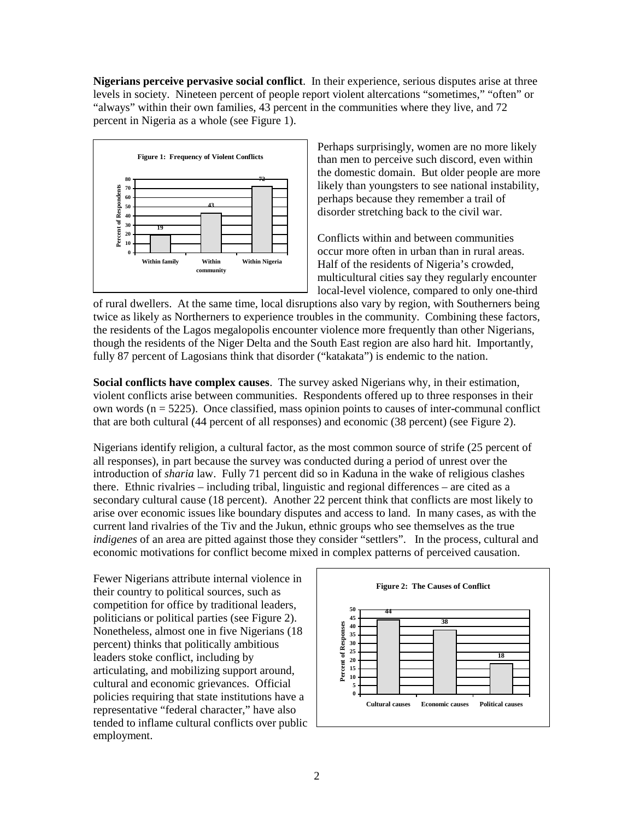**Nigerians perceive pervasive social conflict**. In their experience, serious disputes arise at three levels in society. Nineteen percent of people report violent altercations "sometimes," "often" or "always" within their own families, 43 percent in the communities where they live, and 72 percent in Nigeria as a whole (see Figure 1).



Perhaps surprisingly, women are no more likely than men to perceive such discord, even within the domestic domain. But older people are more likely than youngsters to see national instability, perhaps because they remember a trail of disorder stretching back to the civil war.

Conflicts within and between communities occur more often in urban than in rural areas. Half of the residents of Nigeria's crowded, multicultural cities say they regularly encounter local-level violence, compared to only one-third

of rural dwellers. At the same time, local disruptions also vary by region, with Southerners being twice as likely as Northerners to experience troubles in the community. Combining these factors, the residents of the Lagos megalopolis encounter violence more frequently than other Nigerians, though the residents of the Niger Delta and the South East region are also hard hit. Importantly, fully 87 percent of Lagosians think that disorder ("katakata") is endemic to the nation.

**Social conflicts have complex causes**. The survey asked Nigerians why, in their estimation, violent conflicts arise between communities. Respondents offered up to three responses in their own words ( $n = 5225$ ). Once classified, mass opinion points to causes of inter-communal conflict that are both cultural (44 percent of all responses) and economic (38 percent) (see Figure 2).

Nigerians identify religion, a cultural factor, as the most common source of strife (25 percent of all responses), in part because the survey was conducted during a period of unrest over the introduction of *sharia* law. Fully 71 percent did so in Kaduna in the wake of religious clashes there. Ethnic rivalries – including tribal, linguistic and regional differences – are cited as a secondary cultural cause (18 percent). Another 22 percent think that conflicts are most likely to arise over economic issues like boundary disputes and access to land. In many cases, as with the current land rivalries of the Tiv and the Jukun, ethnic groups who see themselves as the true *indigenes* of an area are pitted against those they consider "settlers". In the process, cultural and economic motivations for conflict become mixed in complex patterns of perceived causation.

Fewer Nigerians attribute internal violence in their country to political sources, such as competition for office by traditional leaders, politicians or political parties (see Figure 2). Nonetheless, almost one in five Nigerians (18 percent) thinks that politically ambitious leaders stoke conflict, including by articulating, and mobilizing support around, cultural and economic grievances. Official policies requiring that state institutions have a representative "federal character," have also tended to inflame cultural conflicts over public employment.

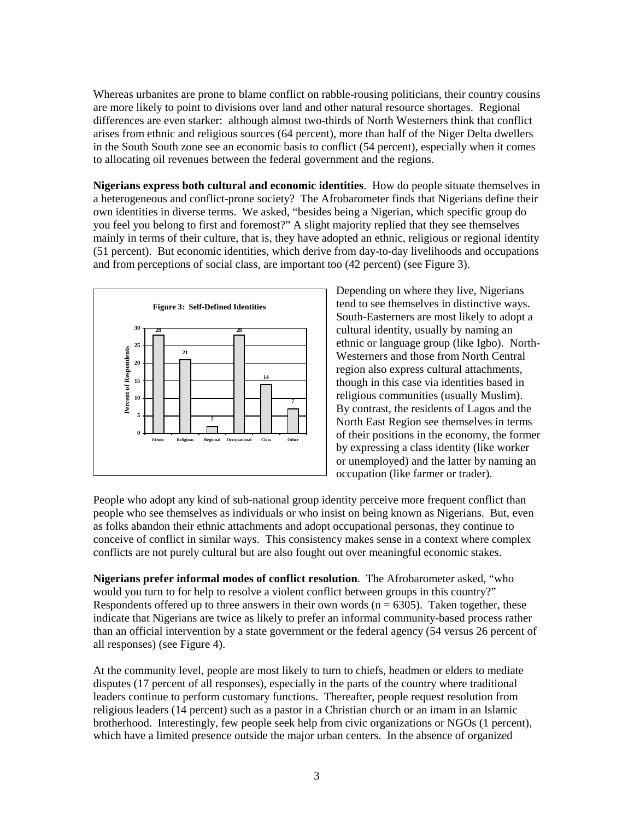Whereas urbanites are prone to blame conflict on rabble-rousing politicians, their country cousins are more likely to point to divisions over land and other natural resource shortages. Regional differences are even starker: although almost two-thirds of North Westerners think that conflict arises from ethnic and religious sources (64 percent), more than half of the Niger Delta dwellers in the South South zone see an economic basis to conflict (54 percent), especially when it comes to allocating oil revenues between the federal government and the regions.

**Nigerians express both cultural and economic identities**. How do people situate themselves in a heterogeneous and conflict-prone society? The Afrobarometer finds that Nigerians define their own identities in diverse terms. We asked, "besides being a Nigerian, which specific group do you feel you belong to first and foremost?" A slight majority replied that they see themselves mainly in terms of their culture, that is, they have adopted an ethnic, religious or regional identity (51 percent). But economic identities, which derive from day-to-day livelihoods and occupations and from perceptions of social class, are important too (42 percent) (see Figure 3).



Depending on where they live, Nigerians tend to see themselves in distinctive ways. South-Easterners are most likely to adopt a cultural identity, usually by naming an ethnic or language group (like Igbo). North-Westerners and those from North Central region also express cultural attachments, though in this case via identities based in religious communities (usually Muslim). By contrast, the residents of Lagos and the North East Region see themselves in terms of their positions in the economy, the former by expressing a class identity (like worker or unemployed) and the latter by naming an occupation (like farmer or trader).

People who adopt any kind of sub-national group identity perceive more frequent conflict than people who see themselves as individuals or who insist on being known as Nigerians. But, even as folks abandon their ethnic attachments and adopt occupational personas, they continue to conceive of conflict in similar ways. This consistency makes sense in a context where complex conflicts are not purely cultural but are also fought out over meaningful economic stakes.

**Nigerians prefer informal modes of conflict resolution**. The Afrobarometer asked, "who would you turn to for help to resolve a violent conflict between groups in this country?" Respondents offered up to three answers in their own words ( $n = 6305$ ). Taken together, these indicate that Nigerians are twice as likely to prefer an informal community-based process rather than an official intervention by a state government or the federal agency (54 versus 26 percent of all responses) (see Figure 4).

At the community level, people are most likely to turn to chiefs, headmen or elders to mediate disputes (17 percent of all responses), especially in the parts of the country where traditional leaders continue to perform customary functions. Thereafter, people request resolution from religious leaders (14 percent) such as a pastor in a Christian church or an imam in an Islamic brotherhood. Interestingly, few people seek help from civic organizations or NGOs (1 percent), which have a limited presence outside the major urban centers. In the absence of organized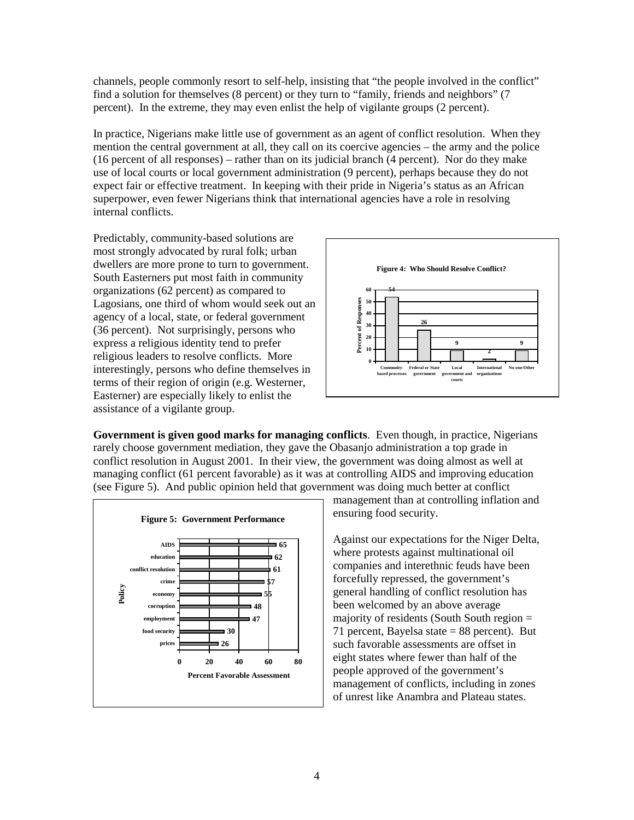channels, people commonly resort to self-help, insisting that "the people involved in the conflict" find a solution for themselves (8 percent) or they turn to "family, friends and neighbors" (7 percent). In the extreme, they may even enlist the help of vigilante groups (2 percent).

In practice, Nigerians make little use of government as an agent of conflict resolution. When they mention the central government at all, they call on its coercive agencies – the army and the police (16 percent of all responses) – rather than on its judicial branch (4 percent). Nor do they make use of local courts or local government administration (9 percent), perhaps because they do not expect fair or effective treatment. In keeping with their pride in Nigeria's status as an African superpower, even fewer Nigerians think that international agencies have a role in resolving internal conflicts.

Predictably, community-based solutions are most strongly advocated by rural folk; urban dwellers are more prone to turn to government. South Easterners put most faith in community organizations (62 percent) as compared to Lagosians, one third of whom would seek out an agency of a local, state, or federal government (36 percent). Not surprisingly, persons who express a religious identity tend to prefer religious leaders to resolve conflicts. More interestingly, persons who define themselves in terms of their region of origin (e.g. Westerner, Easterner) are especially likely to enlist the assistance of a vigilante group.



**Government is given good marks for managing conflicts**. Even though, in practice, Nigerians rarely choose government mediation, they gave the Obasanjo administration a top grade in conflict resolution in August 2001. In their view, the government was doing almost as well at managing conflict (61 percent favorable) as it was at controlling AIDS and improving education (see Figure 5). And public opinion held that government was doing much better at conflict



management than at controlling inflation and ensuring food security.

Against our expectations for the Niger Delta, where protests against multinational oil companies and interethnic feuds have been forcefully repressed, the government's general handling of conflict resolution has been welcomed by an above average majority of residents (South South region = 71 percent, Bayelsa state  $= 88$  percent). But such favorable assessments are offset in eight states where fewer than half of the people approved of the government's management of conflicts, including in zones of unrest like Anambra and Plateau states.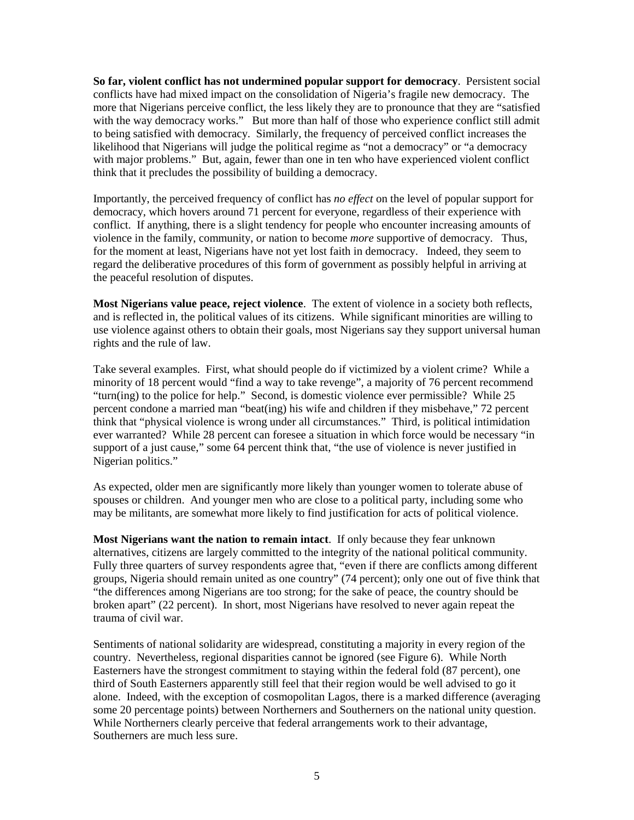**So far, violent conflict has not undermined popular support for democracy**. Persistent social conflicts have had mixed impact on the consolidation of Nigeria's fragile new democracy. The more that Nigerians perceive conflict, the less likely they are to pronounce that they are "satisfied with the way democracy works." But more than half of those who experience conflict still admit to being satisfied with democracy. Similarly, the frequency of perceived conflict increases the likelihood that Nigerians will judge the political regime as "not a democracy" or "a democracy with major problems." But, again, fewer than one in ten who have experienced violent conflict think that it precludes the possibility of building a democracy.

Importantly, the perceived frequency of conflict has *no effect* on the level of popular support for democracy, which hovers around 71 percent for everyone, regardless of their experience with conflict. If anything, there is a slight tendency for people who encounter increasing amounts of violence in the family, community, or nation to become *more* supportive of democracy. Thus, for the moment at least, Nigerians have not yet lost faith in democracy. Indeed, they seem to regard the deliberative procedures of this form of government as possibly helpful in arriving at the peaceful resolution of disputes.

**Most Nigerians value peace, reject violence**. The extent of violence in a society both reflects, and is reflected in, the political values of its citizens. While significant minorities are willing to use violence against others to obtain their goals, most Nigerians say they support universal human rights and the rule of law.

Take several examples. First, what should people do if victimized by a violent crime? While a minority of 18 percent would "find a way to take revenge", a majority of 76 percent recommend "turn(ing) to the police for help." Second, is domestic violence ever permissible? While 25 percent condone a married man "beat(ing) his wife and children if they misbehave," 72 percent think that "physical violence is wrong under all circumstances." Third, is political intimidation ever warranted? While 28 percent can foresee a situation in which force would be necessary "in support of a just cause," some 64 percent think that, "the use of violence is never justified in Nigerian politics."

As expected, older men are significantly more likely than younger women to tolerate abuse of spouses or children. And younger men who are close to a political party, including some who may be militants, are somewhat more likely to find justification for acts of political violence.

**Most Nigerians want the nation to remain intact**. If only because they fear unknown alternatives, citizens are largely committed to the integrity of the national political community. Fully three quarters of survey respondents agree that, "even if there are conflicts among different groups, Nigeria should remain united as one country" (74 percent); only one out of five think that "the differences among Nigerians are too strong; for the sake of peace, the country should be broken apart" (22 percent). In short, most Nigerians have resolved to never again repeat the trauma of civil war.

Sentiments of national solidarity are widespread, constituting a majority in every region of the country. Nevertheless, regional disparities cannot be ignored (see Figure 6). While North Easterners have the strongest commitment to staying within the federal fold (87 percent), one third of South Easterners apparently still feel that their region would be well advised to go it alone. Indeed, with the exception of cosmopolitan Lagos, there is a marked difference (averaging some 20 percentage points) between Northerners and Southerners on the national unity question. While Northerners clearly perceive that federal arrangements work to their advantage, Southerners are much less sure.